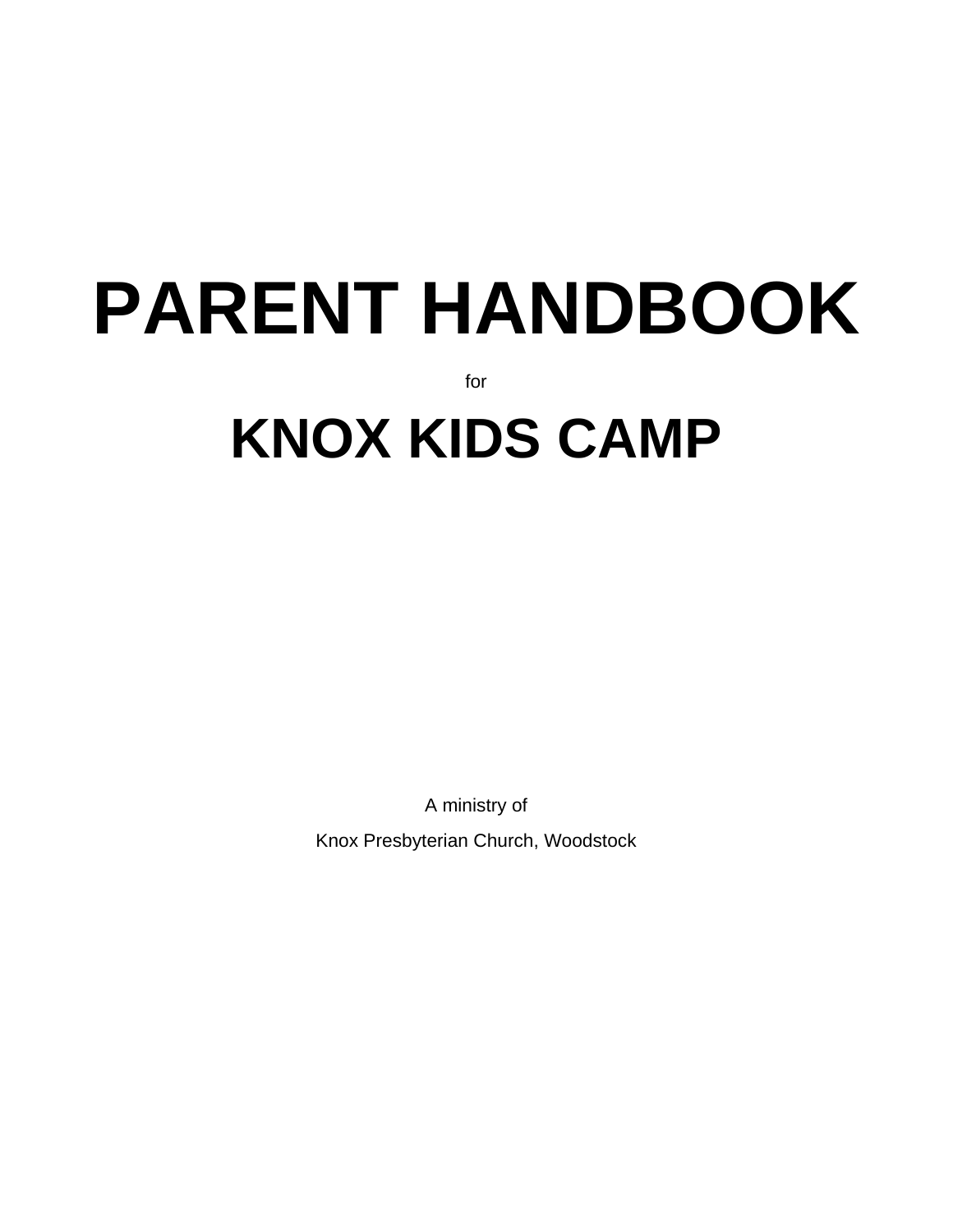# **PARENT HANDBOOK** for **KNOX KIDS CAMP**

A ministry of

Knox Presbyterian Church, Woodstock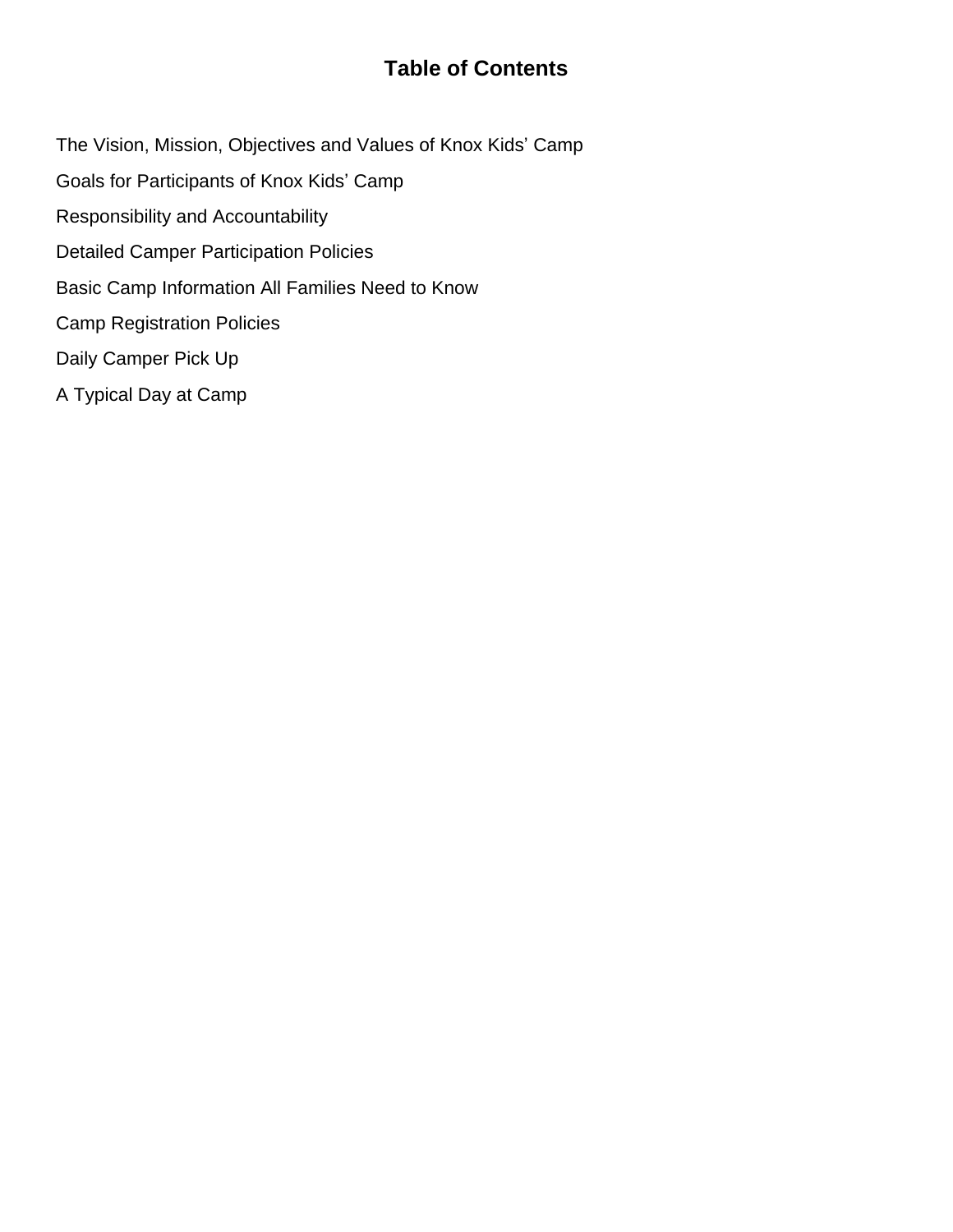## **Table of Contents**

- The Vision, Mission, Objectives and Values of Knox Kids' Camp
- Goals for Participants of Knox Kids' Camp
- Responsibility and Accountability
- Detailed Camper Participation Policies
- Basic Camp Information All Families Need to Know
- Camp Registration Policies
- Daily Camper Pick Up
- A Typical Day at Camp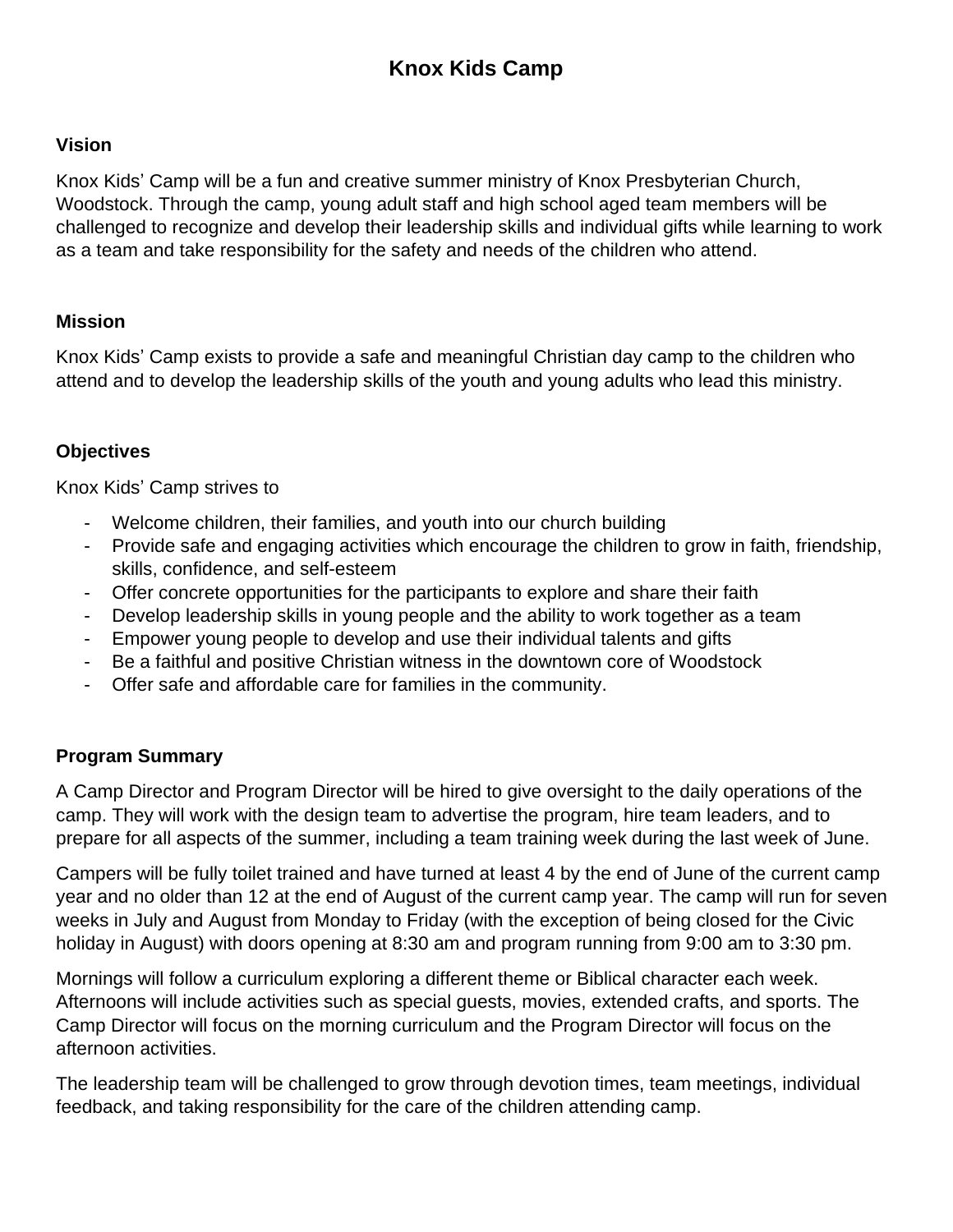## **Knox Kids Camp**

#### **Vision**

Knox Kids' Camp will be a fun and creative summer ministry of Knox Presbyterian Church, Woodstock. Through the camp, young adult staff and high school aged team members will be challenged to recognize and develop their leadership skills and individual gifts while learning to work as a team and take responsibility for the safety and needs of the children who attend.

#### **Mission**

Knox Kids' Camp exists to provide a safe and meaningful Christian day camp to the children who attend and to develop the leadership skills of the youth and young adults who lead this ministry.

## **Objectives**

Knox Kids' Camp strives to

- Welcome children, their families, and youth into our church building
- Provide safe and engaging activities which encourage the children to grow in faith, friendship, skills, confidence, and self-esteem
- Offer concrete opportunities for the participants to explore and share their faith
- Develop leadership skills in young people and the ability to work together as a team
- Empower young people to develop and use their individual talents and gifts
- Be a faithful and positive Christian witness in the downtown core of Woodstock
- Offer safe and affordable care for families in the community.

#### **Program Summary**

A Camp Director and Program Director will be hired to give oversight to the daily operations of the camp. They will work with the design team to advertise the program, hire team leaders, and to prepare for all aspects of the summer, including a team training week during the last week of June.

Campers will be fully toilet trained and have turned at least 4 by the end of June of the current camp year and no older than 12 at the end of August of the current camp year. The camp will run for seven weeks in July and August from Monday to Friday (with the exception of being closed for the Civic holiday in August) with doors opening at 8:30 am and program running from 9:00 am to 3:30 pm.

Mornings will follow a curriculum exploring a different theme or Biblical character each week. Afternoons will include activities such as special guests, movies, extended crafts, and sports. The Camp Director will focus on the morning curriculum and the Program Director will focus on the afternoon activities.

The leadership team will be challenged to grow through devotion times, team meetings, individual feedback, and taking responsibility for the care of the children attending camp.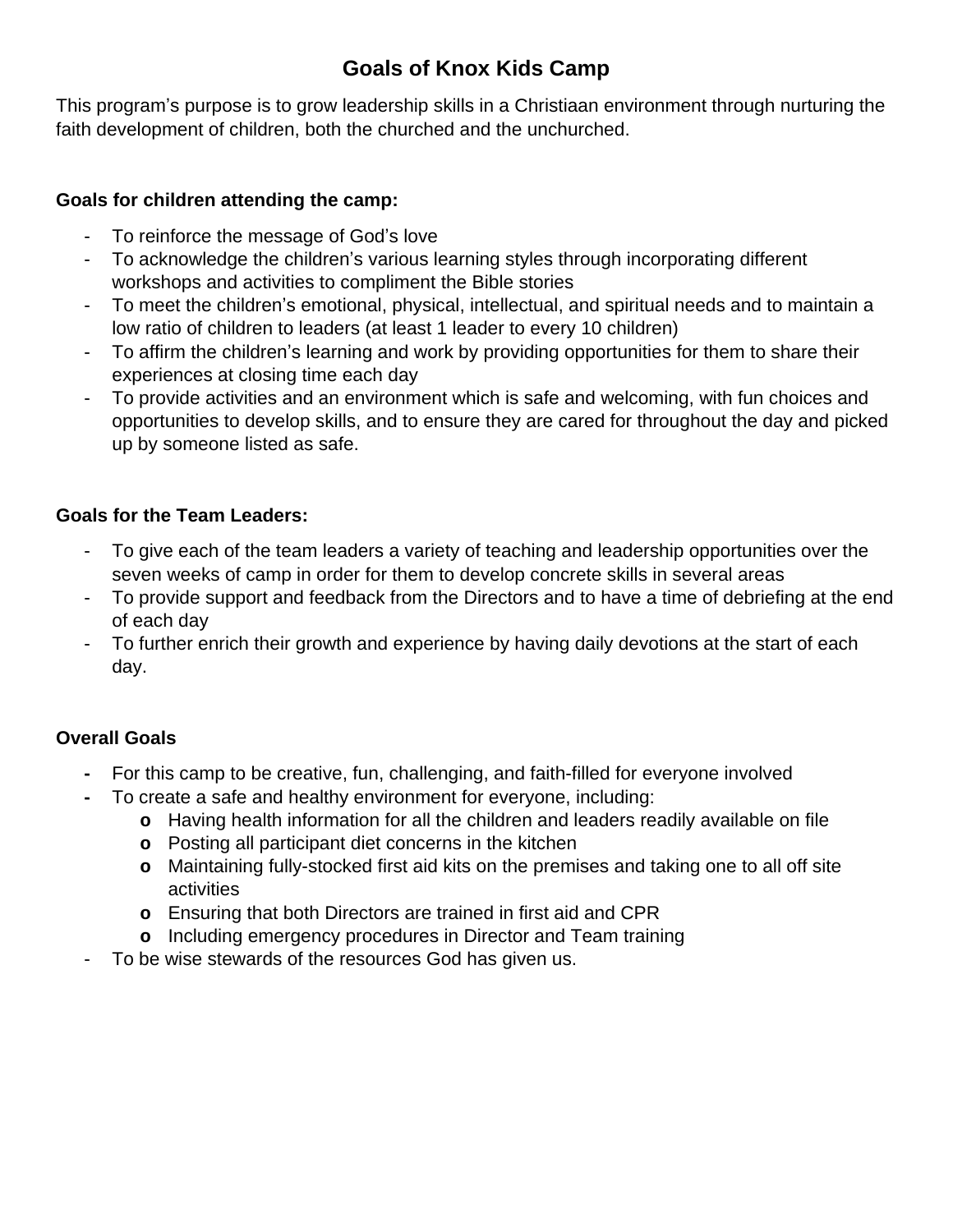## **Goals of Knox Kids Camp**

This program's purpose is to grow leadership skills in a Christiaan environment through nurturing the faith development of children, both the churched and the unchurched.

#### **Goals for children attending the camp:**

- To reinforce the message of God's love
- To acknowledge the children's various learning styles through incorporating different workshops and activities to compliment the Bible stories
- To meet the children's emotional, physical, intellectual, and spiritual needs and to maintain a low ratio of children to leaders (at least 1 leader to every 10 children)
- To affirm the children's learning and work by providing opportunities for them to share their experiences at closing time each day
- To provide activities and an environment which is safe and welcoming, with fun choices and opportunities to develop skills, and to ensure they are cared for throughout the day and picked up by someone listed as safe.

## **Goals for the Team Leaders:**

- To give each of the team leaders a variety of teaching and leadership opportunities over the seven weeks of camp in order for them to develop concrete skills in several areas
- To provide support and feedback from the Directors and to have a time of debriefing at the end of each day
- To further enrich their growth and experience by having daily devotions at the start of each day.

## **Overall Goals**

- **-** For this camp to be creative, fun, challenging, and faith-filled for everyone involved
- **-** To create a safe and healthy environment for everyone, including:
	- **o** Having health information for all the children and leaders readily available on file
	- **o** Posting all participant diet concerns in the kitchen
	- **o** Maintaining fully-stocked first aid kits on the premises and taking one to all off site activities
	- **o** Ensuring that both Directors are trained in first aid and CPR
	- **o** Including emergency procedures in Director and Team training
- To be wise stewards of the resources God has given us.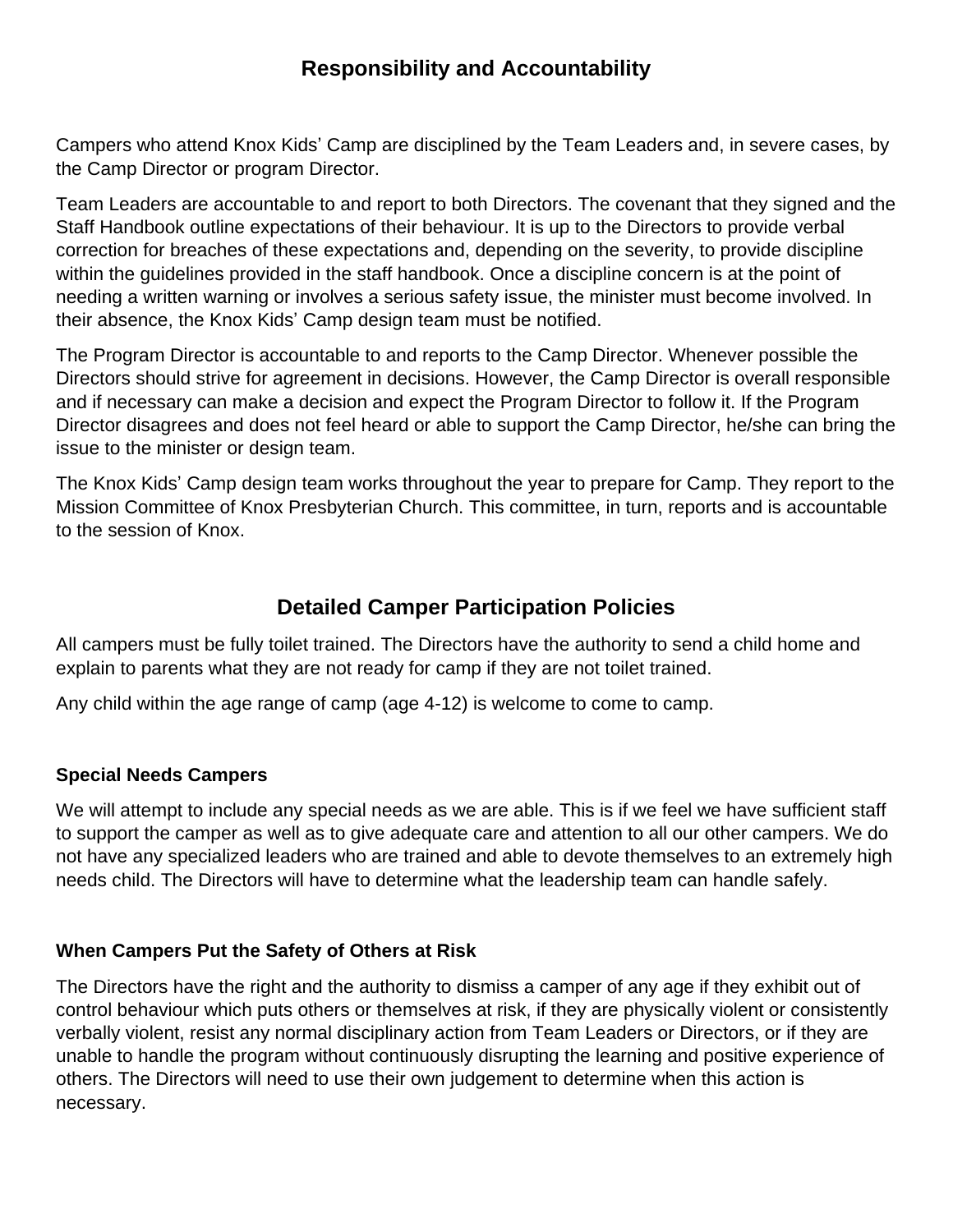## **Responsibility and Accountability**

Campers who attend Knox Kids' Camp are disciplined by the Team Leaders and, in severe cases, by the Camp Director or program Director.

Team Leaders are accountable to and report to both Directors. The covenant that they signed and the Staff Handbook outline expectations of their behaviour. It is up to the Directors to provide verbal correction for breaches of these expectations and, depending on the severity, to provide discipline within the guidelines provided in the staff handbook. Once a discipline concern is at the point of needing a written warning or involves a serious safety issue, the minister must become involved. In their absence, the Knox Kids' Camp design team must be notified.

The Program Director is accountable to and reports to the Camp Director. Whenever possible the Directors should strive for agreement in decisions. However, the Camp Director is overall responsible and if necessary can make a decision and expect the Program Director to follow it. If the Program Director disagrees and does not feel heard or able to support the Camp Director, he/she can bring the issue to the minister or design team.

The Knox Kids' Camp design team works throughout the year to prepare for Camp. They report to the Mission Committee of Knox Presbyterian Church. This committee, in turn, reports and is accountable to the session of Knox.

## **Detailed Camper Participation Policies**

All campers must be fully toilet trained. The Directors have the authority to send a child home and explain to parents what they are not ready for camp if they are not toilet trained.

Any child within the age range of camp (age 4-12) is welcome to come to camp.

#### **Special Needs Campers**

We will attempt to include any special needs as we are able. This is if we feel we have sufficient staff to support the camper as well as to give adequate care and attention to all our other campers. We do not have any specialized leaders who are trained and able to devote themselves to an extremely high needs child. The Directors will have to determine what the leadership team can handle safely.

#### **When Campers Put the Safety of Others at Risk**

The Directors have the right and the authority to dismiss a camper of any age if they exhibit out of control behaviour which puts others or themselves at risk, if they are physically violent or consistently verbally violent, resist any normal disciplinary action from Team Leaders or Directors, or if they are unable to handle the program without continuously disrupting the learning and positive experience of others. The Directors will need to use their own judgement to determine when this action is necessary.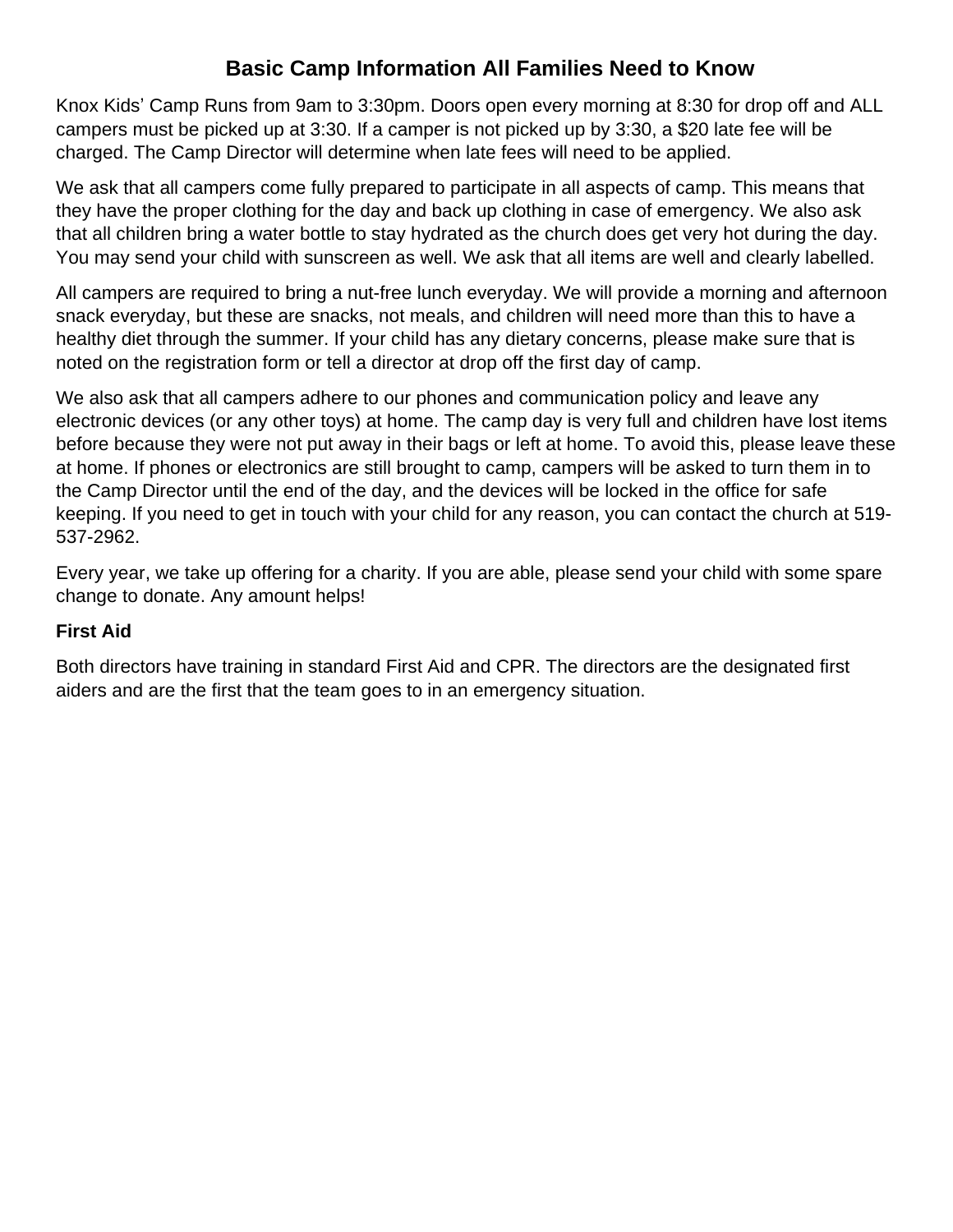## **Basic Camp Information All Families Need to Know**

Knox Kids' Camp Runs from 9am to 3:30pm. Doors open every morning at 8:30 for drop off and ALL campers must be picked up at 3:30. If a camper is not picked up by 3:30, a \$20 late fee will be charged. The Camp Director will determine when late fees will need to be applied.

We ask that all campers come fully prepared to participate in all aspects of camp. This means that they have the proper clothing for the day and back up clothing in case of emergency. We also ask that all children bring a water bottle to stay hydrated as the church does get very hot during the day. You may send your child with sunscreen as well. We ask that all items are well and clearly labelled.

All campers are required to bring a nut-free lunch everyday. We will provide a morning and afternoon snack everyday, but these are snacks, not meals, and children will need more than this to have a healthy diet through the summer. If your child has any dietary concerns, please make sure that is noted on the registration form or tell a director at drop off the first day of camp.

We also ask that all campers adhere to our phones and communication policy and leave any electronic devices (or any other toys) at home. The camp day is very full and children have lost items before because they were not put away in their bags or left at home. To avoid this, please leave these at home. If phones or electronics are still brought to camp, campers will be asked to turn them in to the Camp Director until the end of the day, and the devices will be locked in the office for safe keeping. If you need to get in touch with your child for any reason, you can contact the church at 519- 537-2962.

Every year, we take up offering for a charity. If you are able, please send your child with some spare change to donate. Any amount helps!

#### **First Aid**

Both directors have training in standard First Aid and CPR. The directors are the designated first aiders and are the first that the team goes to in an emergency situation.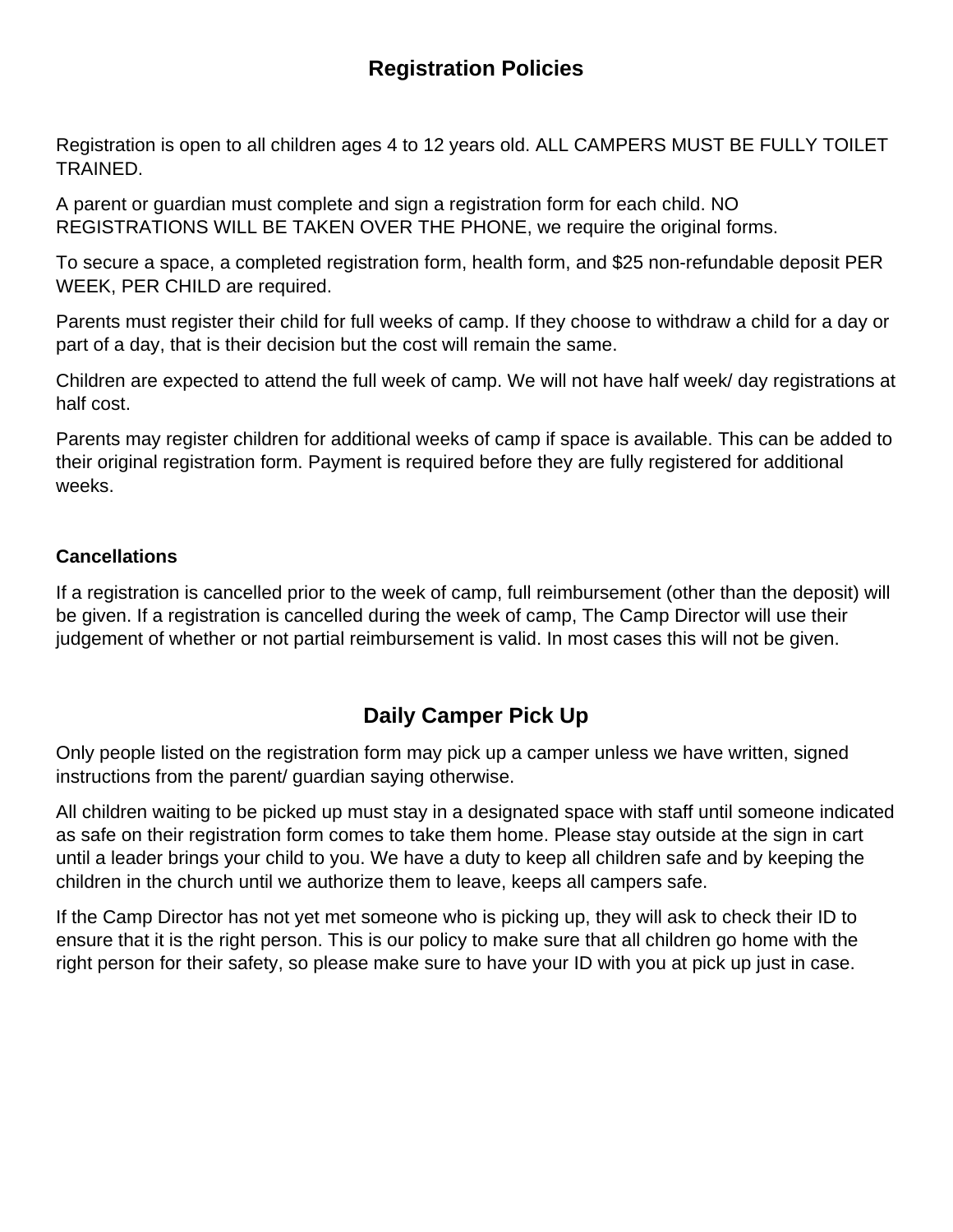## **Registration Policies**

Registration is open to all children ages 4 to 12 years old. ALL CAMPERS MUST BE FULLY TOILET TRAINED.

A parent or guardian must complete and sign a registration form for each child. NO REGISTRATIONS WILL BE TAKEN OVER THE PHONE, we require the original forms.

To secure a space, a completed registration form, health form, and \$25 non-refundable deposit PER WEEK, PER CHILD are required.

Parents must register their child for full weeks of camp. If they choose to withdraw a child for a day or part of a day, that is their decision but the cost will remain the same.

Children are expected to attend the full week of camp. We will not have half week/ day registrations at half cost.

Parents may register children for additional weeks of camp if space is available. This can be added to their original registration form. Payment is required before they are fully registered for additional weeks.

#### **Cancellations**

If a registration is cancelled prior to the week of camp, full reimbursement (other than the deposit) will be given. If a registration is cancelled during the week of camp, The Camp Director will use their judgement of whether or not partial reimbursement is valid. In most cases this will not be given.

## **Daily Camper Pick Up**

Only people listed on the registration form may pick up a camper unless we have written, signed instructions from the parent/ guardian saying otherwise.

All children waiting to be picked up must stay in a designated space with staff until someone indicated as safe on their registration form comes to take them home. Please stay outside at the sign in cart until a leader brings your child to you. We have a duty to keep all children safe and by keeping the children in the church until we authorize them to leave, keeps all campers safe.

If the Camp Director has not yet met someone who is picking up, they will ask to check their ID to ensure that it is the right person. This is our policy to make sure that all children go home with the right person for their safety, so please make sure to have your ID with you at pick up just in case.